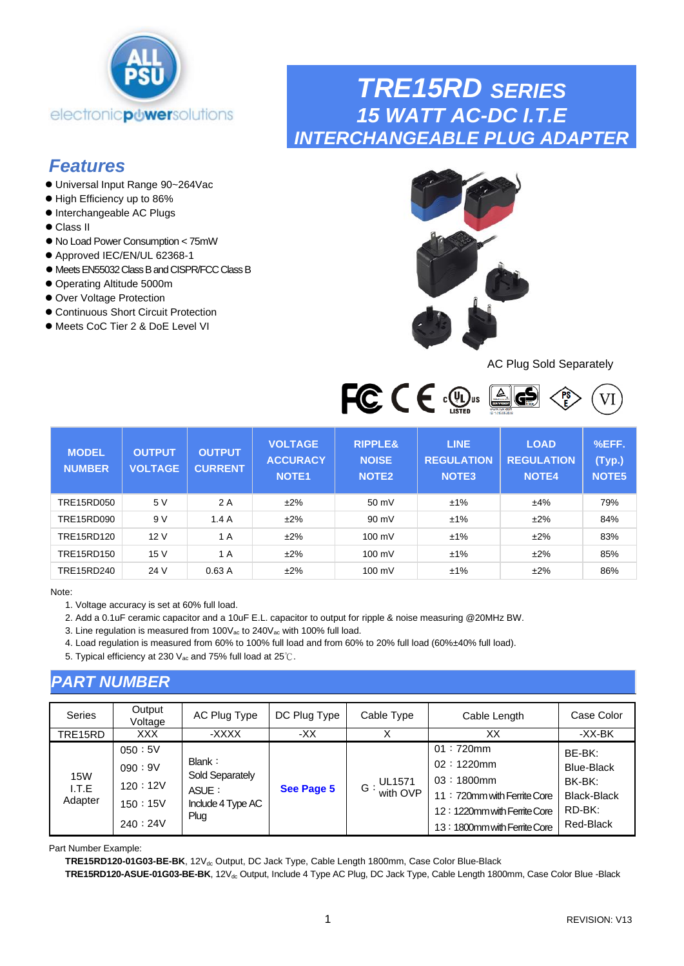<span id="page-0-0"></span>

## *Features*

- ⚫ Universal Input Range 90~264Vac
- ⚫ High Efficiency up to 86%
- ⚫ Interchangeable AC Plugs
- ⚫ Class II
- ⚫ No Load Power Consumption < 75mW
- Approved IEC/EN/UL 62368-1
- ⚫ MeetsEN55032 Class B and CISPR/FCC Class B
- ⚫ Operating Altitude 5000m
- ⚫ Over Voltage Protection
- ⚫ Continuous Short Circuit Protection
- Meets CoC Tier 2 & DoE Level VI



*TRE15RD SERIES*

*15 WATT AC-DC I.T.E*

*INTERCHANGEABLE PLUG ADAPTER*

#### AC Plug Sold Separately



| <b>MODEL</b><br><b>NUMBER</b> | <b>OUTPUT</b><br><b>VOLTAGE</b> | <b>OUTPUT</b><br><b>CURRENT</b> | <b>VOLTAGE</b><br><b>ACCURACY</b><br><b>NOTE1</b> | <b>RIPPLE&amp;</b><br><b>NOISE</b><br><b>NOTE2</b> | <b>LINE</b><br><b>REGULATION</b><br>NOTE <sub>3</sub> | <b>LOAD</b><br><b>REGULATION</b><br><b>NOTE4</b> | %EFF.<br>(Typ.)<br>NOTE5 |
|-------------------------------|---------------------------------|---------------------------------|---------------------------------------------------|----------------------------------------------------|-------------------------------------------------------|--------------------------------------------------|--------------------------|
| TRE15RD050                    | 5 V                             | 2 A                             | $±2\%$                                            | 50 mV                                              | ±1%                                                   | ±4%                                              | 79%                      |
| TRE15RD090                    | 9 V                             | 1.4A                            | $±2\%$                                            | $90 \text{ mV}$                                    | ±1%                                                   | ±2%                                              | 84%                      |
| TRE15RD120                    | 12 V                            | 1 A                             | ±2%                                               | 100 mV                                             | ±1%                                                   | ±2%                                              | 83%                      |
| TRE15RD150                    | 15 V                            | 1 A                             | $±2\%$                                            | $100 \text{ mV}$                                   | ±1%                                                   | ±2%                                              | 85%                      |
| TRE15RD240                    | 24 V                            | 0.63A                           | $±2\%$                                            | 100 mV                                             | ±1%                                                   | ±2%                                              | 86%                      |

Note:

1. Voltage accuracy is set at 60% full load.

2. Add a 0.1uF ceramic capacitor and a 10uF E.L. capacitor to output for ripple & noise measuring @20MHz BW.

3. Line regulation is measured from 100V<sub>ac</sub> to 240V<sub>ac</sub> with 100% full load.

4. Load regulation is measured from 60% to 100% full load and from 60% to 20% full load (60%±40% full load).

5. Typical efficiency at 230 V<sub>ac</sub> and 75% full load at 25℃.

### *PART NUMBER*

| <b>Series</b>                  | Output<br>Voltage                                 | AC Plug Type                                                    | DC Plug Type | Cable Type                     | Cable Length                                                                                                                             | Case Color                                                                  |
|--------------------------------|---------------------------------------------------|-----------------------------------------------------------------|--------------|--------------------------------|------------------------------------------------------------------------------------------------------------------------------------------|-----------------------------------------------------------------------------|
| TRE15RD                        | <b>XXX</b>                                        | -XXXX                                                           | -XX          |                                | XX                                                                                                                                       | -XX-BK                                                                      |
| <b>15W</b><br>I.T.E<br>Adapter | 050:5V<br>090:9V<br>120:12V<br>150:15V<br>240:24V | Blank:<br>Sold Separately<br>ASUE:<br>Include 4 Type AC<br>Plug | See Page 5   | <b>UL1571</b><br>$G:$ with OVP | $01:720$ mm<br>$02:1220$ mm<br>$03:1800$ mm<br>11: 720mm with Ferrite Core<br>12:1220mm with Ferrite Core<br>13:1800mm with Ferrite Core | BE-BK:<br><b>Blue-Black</b><br>BK-BK:<br>Black-Black<br>RD-BK:<br>Red-Black |

Part Number Example:

TRE15RD120-01G03-BE-BK, 12V<sub>dc</sub> Output, DC Jack Type, Cable Length 1800mm, Case Color Blue-Black

TRE15RD120-ASUE-01G03-BE-BK, 12V<sub>dc</sub> Output, Include 4 Type AC Plug, DC Jack Type, Cable Length 1800mm, Case Color Blue -Black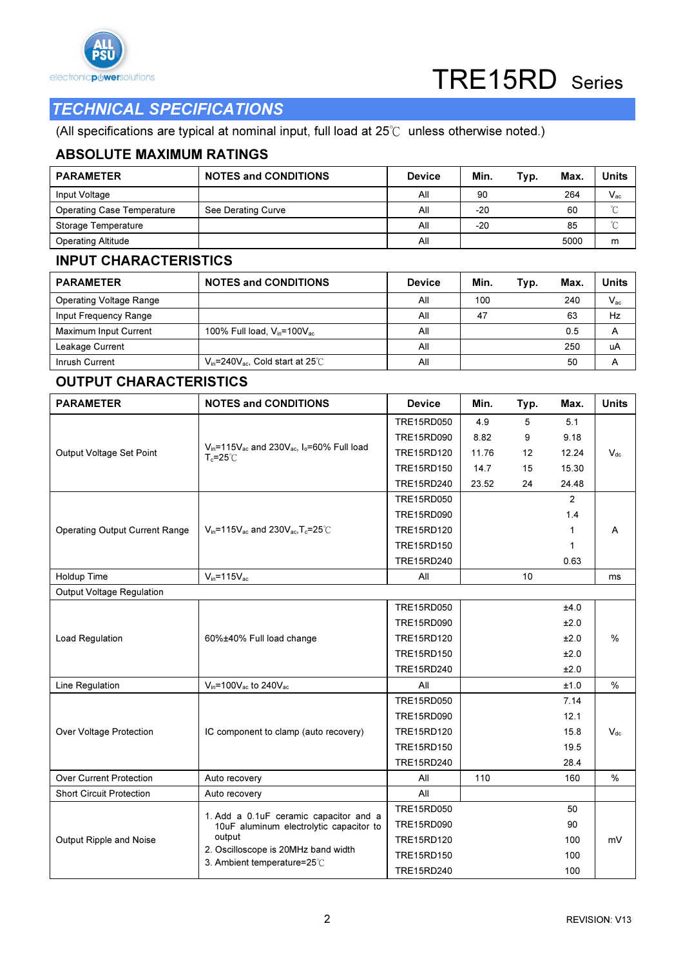

### TECHNICAL SPECIFICATIONS

(All specifications are typical at nominal input, full load at 25℃ unless otherwise noted.)

#### ABSOLUTE MAXIMUM RATINGS

| <b>PARAMETER</b>                  | <b>NOTES and CONDITIONS</b> | <b>Device</b> | Min.  | Typ. | Max. | <b>Units</b> |
|-----------------------------------|-----------------------------|---------------|-------|------|------|--------------|
| Input Voltage                     |                             | All           | 90    |      | 264  | $V_{ac}$     |
| <b>Operating Case Temperature</b> | See Derating Curve          | All           | $-20$ |      | 60   | $\sim$       |
| Storage Temperature               |                             | All           | $-20$ |      | 85   | $\sim$       |
| <b>Operating Altitude</b>         |                             | All           |       |      | 5000 | m            |

#### INPUT CHARACTERISTICS

| <b>PARAMETER</b>               | <b>NOTES and CONDITIONS</b>                    | <b>Device</b> | Min. | Typ. | Max. | Units    |
|--------------------------------|------------------------------------------------|---------------|------|------|------|----------|
| <b>Operating Voltage Range</b> |                                                | All           | 100  |      | 240  | $V_{ac}$ |
| Input Frequency Range          |                                                | All           | 47   |      | 63   | Hz       |
| Maximum Input Current          | 100% Full load, $V_{in}$ =100 $V_{ac}$         | All           |      |      | 0.5  | А        |
| Leakage Current                |                                                | All           |      |      | 250  | uA       |
| Inrush Current                 | $V_{in}$ =240 $V_{ac}$ . Cold start at 25 $°C$ | All           |      |      | 50   | А        |

#### OUTPUT CHARACTERISTICS

| <b>PARAMETER</b>                      | <b>NOTES and CONDITIONS</b>                                                                 | <b>Device</b>     | Min.  | Typ. | Max.           | <b>Units</b>  |
|---------------------------------------|---------------------------------------------------------------------------------------------|-------------------|-------|------|----------------|---------------|
|                                       |                                                                                             | TRE15RD050        | 4.9   | 5    | 5.1            |               |
|                                       |                                                                                             | TRE15RD090        | 8.82  | 9    | 9.18           |               |
| Output Voltage Set Point              | $V_{in}$ =115 $V_{ac}$ and 230 $V_{ac}$ , $I_0$ =60% Full load<br>$T_c = 25^\circ \text{C}$ | TRE15RD120        | 11.76 | 12   | 12.24          | $V_{dc}$      |
|                                       |                                                                                             | TRE15RD150        | 14.7  | 15   | 15.30          |               |
|                                       |                                                                                             | TRE15RD240        | 23.52 | 24   | 24.48          |               |
|                                       |                                                                                             | TRE15RD050        |       |      | $\overline{2}$ |               |
|                                       |                                                                                             | TRE15RD090        |       |      | 1.4            |               |
| <b>Operating Output Current Range</b> | $V_{in}$ =115 $V_{ac}$ and 230 $V_{ac}$ , T <sub>c</sub> =25 $\degree$ C                    | TRE15RD120        |       |      | 1              | A             |
|                                       |                                                                                             | TRE15RD150        |       |      | 1              |               |
|                                       |                                                                                             | TRE15RD240        |       |      | 0.63           |               |
| Holdup Time                           | $V_{in} = 115V_{ac}$                                                                        | All               |       | 10   |                | ms            |
| Output Voltage Regulation             |                                                                                             |                   |       |      |                |               |
|                                       |                                                                                             | <b>TRE15RD050</b> |       |      | ±4.0           |               |
|                                       | 60%±40% Full load change                                                                    | TRE15RD090        |       |      | ±2.0           |               |
| <b>Load Regulation</b>                |                                                                                             | TRE15RD120        |       |      | ±2.0           | $\frac{0}{0}$ |
|                                       |                                                                                             | TRE15RD150        |       |      | ±2.0           |               |
|                                       |                                                                                             | TRE15RD240        |       |      | ±2.0           |               |
| Line Regulation                       | $V_{in}$ =100 $V_{ac}$ to 240 $V_{ac}$                                                      | All               |       |      | ±1.0           | $\%$          |
|                                       |                                                                                             | TRE15RD050        |       |      | 7.14           |               |
|                                       |                                                                                             | TRE15RD090        |       |      | 12.1           |               |
| Over Voltage Protection               | IC component to clamp (auto recovery)                                                       | TRE15RD120        |       |      | 15.8           | $V_{dc}$      |
|                                       |                                                                                             | TRE15RD150        |       |      | 19.5           |               |
|                                       |                                                                                             | TRE15RD240        |       |      | 28.4           |               |
| <b>Over Current Protection</b>        | Auto recovery                                                                               | All               | 110   |      | 160            | %             |
| <b>Short Circuit Protection</b>       | Auto recovery                                                                               | All               |       |      |                |               |
|                                       | 1. Add a 0.1uF ceramic capacitor and a                                                      | <b>TRE15RD050</b> |       |      | 50             |               |
|                                       | 10uF aluminum electrolytic capacitor to                                                     | TRE15RD090        |       |      | 90             |               |
| Output Ripple and Noise               | output                                                                                      | TRE15RD120        |       |      | 100            | mV            |
|                                       | 2. Oscilloscope is 20MHz band width<br>3. Ambient temperature=25°C                          | TRE15RD150        |       |      | 100            |               |
|                                       |                                                                                             | TRE15RD240        |       |      | 100            |               |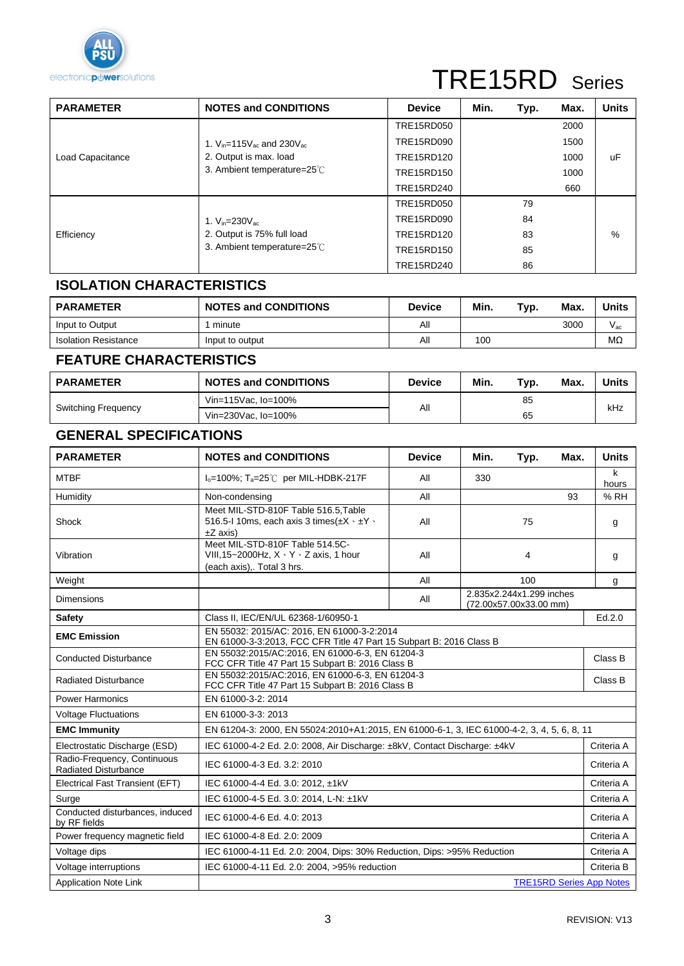

# TRE15RD Series

| <b>PARAMETER</b> | <b>NOTES and CONDITIONS</b>                            | <b>Device</b>     | Min. | Typ. | Max. | <b>Units</b> |
|------------------|--------------------------------------------------------|-------------------|------|------|------|--------------|
|                  |                                                        | <b>TRE15RD050</b> |      |      | 2000 |              |
|                  | 1. $V_{in} = 115V_{ac}$ and 230 $V_{ac}$               | TRE15RD090        |      |      | 1500 |              |
| Load Capacitance | 2. Output is max. load                                 | TRE15RD120        |      |      | 1000 | uF           |
|                  | 3. Ambient temperature=25°C                            | TRE15RD150        |      |      | 1000 |              |
|                  |                                                        | TRE15RD240        |      |      | 660  |              |
|                  |                                                        | TRE15RD050        |      | 79   |      |              |
|                  | 1. $V_{in} = 230 V_{ac}$<br>2. Output is 75% full load | TRE15RD090        |      | 84   |      |              |
| Efficiency       |                                                        | TRE15RD120        |      | 83   |      | %            |
|                  | 3. Ambient temperature=25°C                            | TRE15RD150        |      | 85   |      |              |
|                  |                                                        | TRE15RD240        |      | 86   |      |              |

#### **ISOLATION CHARACTERISTICS**

| <b>PARAMETER</b>            | <b>NOTES and CONDITIONS</b> | <b>Device</b> | Min. | Typ. | Max. | Units                      |
|-----------------------------|-----------------------------|---------------|------|------|------|----------------------------|
| Input to Output             | minute                      | All           |      |      | 3000 | $\mathsf{V}_{\mathsf{ac}}$ |
| <b>Isolation Resistance</b> | Input to output             | All           | 100  |      |      | ΜΩ                         |

#### **FEATURE CHARACTERISTICS**

| <b>NOTES and CONDITIONS</b><br><b>PARAMETER</b> |                     | <b>Device</b> | Min.<br>Typ. | Units<br>Max |  |
|-------------------------------------------------|---------------------|---------------|--------------|--------------|--|
|                                                 | Vin=115Vac, lo=100% |               | 85           | kHz          |  |
| <b>Switching Frequency</b>                      | Vin=230Vac, lo=100% | All           | 65           |              |  |

#### **GENERAL SPECIFICATIONS**

| <b>PARAMETER</b>                                           | <b>NOTES and CONDITIONS</b><br><b>Device</b><br>Min.<br>Typ.                                                        |                                                           |  |     | Max.                            | <b>Units</b> |  |
|------------------------------------------------------------|---------------------------------------------------------------------------------------------------------------------|-----------------------------------------------------------|--|-----|---------------------------------|--------------|--|
| <b>MTBF</b>                                                | $I_0 = 100\%$ ; T <sub>a</sub> =25°C per MIL-HDBK-217F<br>All<br>330                                                |                                                           |  |     |                                 | k<br>hours   |  |
| Humidity                                                   | Non-condensing                                                                                                      | All                                                       |  |     | 93                              | %RH          |  |
| Shock                                                      | Meet MIL-STD-810F Table 516.5, Table<br>516.5-1 10ms, each axis 3 times $(\pm X \cdot \pm Y \cdot$<br>$\pm Z$ axis) | All                                                       |  | 75  |                                 | g            |  |
| Vibration                                                  | Meet MIL-STD-810F Table 514.5C-<br>VIII, 15~2000Hz, $X \cdot Y \cdot Z$ axis, 1 hour<br>(each axis),. Total 3 hrs.  | All                                                       |  | 4   |                                 | g            |  |
| Weight                                                     |                                                                                                                     | All                                                       |  | 100 |                                 | g            |  |
| <b>Dimensions</b>                                          |                                                                                                                     | 2.835x2.244x1.299 inches<br>All<br>(72.00x57.00x33.00 mm) |  |     |                                 |              |  |
| <b>Safety</b>                                              | Class II, IEC/EN/UL 62368-1/60950-1                                                                                 |                                                           |  |     |                                 |              |  |
| <b>EMC Emission</b>                                        | EN 55032: 2015/AC: 2016, EN 61000-3-2:2014<br>EN 61000-3-3:2013, FCC CFR Title 47 Part 15 Subpart B: 2016 Class B   |                                                           |  |     |                                 |              |  |
| <b>Conducted Disturbance</b>                               | EN 55032:2015/AC:2016, EN 61000-6-3, EN 61204-3<br>FCC CFR Title 47 Part 15 Subpart B: 2016 Class B                 |                                                           |  |     |                                 |              |  |
| <b>Radiated Disturbance</b>                                | EN 55032:2015/AC:2016, EN 61000-6-3, EN 61204-3<br>FCC CFR Title 47 Part 15 Subpart B: 2016 Class B                 |                                                           |  |     |                                 |              |  |
| <b>Power Harmonics</b>                                     | EN 61000-3-2: 2014                                                                                                  |                                                           |  |     |                                 |              |  |
| <b>Voltage Fluctuations</b>                                | EN 61000-3-3: 2013                                                                                                  |                                                           |  |     |                                 |              |  |
| <b>EMC Immunity</b>                                        | EN 61204-3: 2000, EN 55024:2010+A1:2015, EN 61000-6-1, 3, IEC 61000-4-2, 3, 4, 5, 6, 8, 11                          |                                                           |  |     |                                 |              |  |
| Electrostatic Discharge (ESD)                              | IEC 61000-4-2 Ed. 2.0: 2008, Air Discharge: ±8kV, Contact Discharge: ±4kV                                           |                                                           |  |     |                                 | Criteria A   |  |
| Radio-Frequency, Continuous<br><b>Radiated Disturbance</b> | IEC 61000-4-3 Ed. 3.2: 2010                                                                                         |                                                           |  |     |                                 | Criteria A   |  |
| Electrical Fast Transient (EFT)                            | IEC 61000-4-4 Ed. 3.0: 2012, ±1kV                                                                                   |                                                           |  |     |                                 | Criteria A   |  |
| Surge                                                      | IEC 61000-4-5 Ed. 3.0: 2014, L-N: ±1kV                                                                              |                                                           |  |     |                                 | Criteria A   |  |
| Conducted disturbances, induced<br>by RF fields            | IEC 61000-4-6 Ed. 4.0: 2013                                                                                         |                                                           |  |     |                                 |              |  |
| Power frequency magnetic field                             | IEC 61000-4-8 Ed. 2.0: 2009                                                                                         |                                                           |  |     |                                 | Criteria A   |  |
| Voltage dips                                               | IEC 61000-4-11 Ed. 2.0: 2004, Dips: 30% Reduction, Dips: >95% Reduction                                             |                                                           |  |     |                                 | Criteria A   |  |
| Voltage interruptions                                      | IEC 61000-4-11 Ed. 2.0: 2004, >95% reduction                                                                        |                                                           |  |     |                                 |              |  |
| <b>Application Note Link</b>                               |                                                                                                                     |                                                           |  |     | <b>TRE15RD Series App Notes</b> |              |  |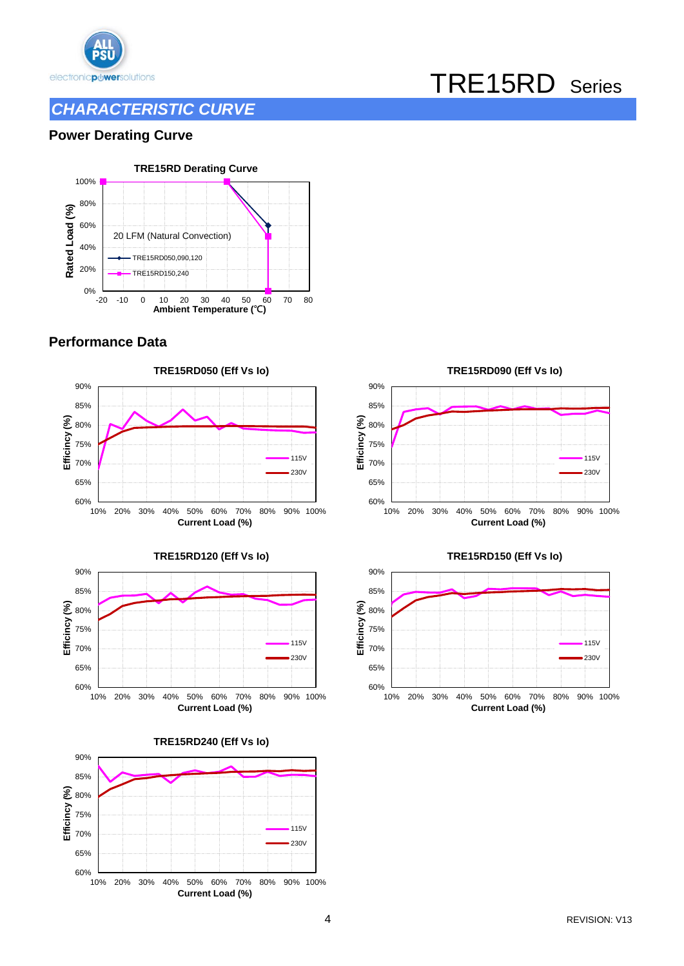

### *CHARACTERISTIC CURVE*

# TRE15RD Series

#### **Power Derating Curve**



#### **Performance Data**













#### **TRE15RD150 (Eff Vs Io)**